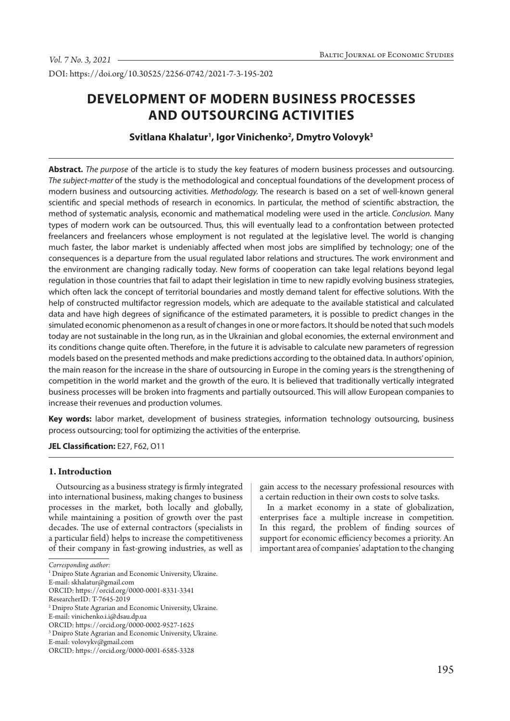DOI: https://doi.org/10.30525/2256-0742/2021-7-3-195-202

# **DEVELOPMENT OF MODERN BUSINESS PROCESSES AND OUTSOURCING ACTIVITIES**

# **Svitlana Khalatur1 , Igor Vinichenko2 , Dmytro Volovyk3**

**Abstract.** *The purpose* of the article is to study the key features of modern business processes and outsourcing. *The subject-matter* of the study is the methodological and conceptual foundations of the development process of modern business and outsourcing activities. *Methodology.* The research is based on a set of well-known general scientific and special methods of research in economics. In particular, the method of scientific abstraction, the method of systematic analysis, economic and mathematical modeling were used in the article. *Conclusion.* Many types of modern work can be outsourced. Thus, this will eventually lead to a confrontation between protected freelancers and freelancers whose employment is not regulated at the legislative level. The world is changing much faster, the labor market is undeniably affected when most jobs are simplified by technology; one of the consequences is a departure from the usual regulated labor relations and structures. The work environment and the environment are changing radically today. New forms of cooperation can take legal relations beyond legal regulation in those countries that fail to adapt their legislation in time to new rapidly evolving business strategies, which often lack the concept of territorial boundaries and mostly demand talent for effective solutions. With the help of constructed multifactor regression models, which are adequate to the available statistical and calculated data and have high degrees of significance of the estimated parameters, it is possible to predict changes in the simulated economic phenomenon as a result of changes in one or more factors. It should be noted that such models today are not sustainable in the long run, as in the Ukrainian and global economies, the external environment and its conditions change quite often. Therefore, in the future it is advisable to calculate new parameters of regression models based on the presented methods and make predictions according to the obtained data. In authors' opinion, the main reason for the increase in the share of outsourcing in Europe in the coming years is the strengthening of competition in the world market and the growth of the euro. It is believed that traditionally vertically integrated business processes will be broken into fragments and partially outsourced. This will allow European companies to increase their revenues and production volumes.

**Key words:** labor market, development of business strategies, information technology outsourcing, business process outsourcing; tool for optimizing the activities of the enterprise.

## **JEL Classification:** Е27, F62, O11

# **1. Intrоduction**

Outsourcing as a business strategy is firmly integrated into international business, making changes to business processes in the market, both locally and globally, while maintaining a position of growth over the past decades. The use of external contractors (specialists in a particular field) helps to increase the competitiveness of their company in fast-growing industries, as well as gain access to the necessary professional resources with a certain reduction in their own costs to solve tasks.

In a market economy in a state of globalization, enterprises face a multiple increase in competition. In this regard, the problem of finding sources of support for economic efficiency becomes a priority. An important area of companies' adaptation to the changing

*Corresponding author:*

<sup>&</sup>lt;sup>1</sup> Dnipro State Agrarian and Economic University, Ukraine.

E-mail: skhalatur@gmail.com

ORCID: https://orcid.org/0000-0001-8331-3341

ResearcherID: T-7645-2019

<sup>2</sup> Dnipro State Agrarian and Economic University, Ukraine.

E-mail: vinichenko.i.i@dsau.dp.ua

ORCID: https://orcid.org/0000-0002-9527-1625

<sup>3</sup> Dnipro State Agrarian and Economic University, Ukraine.

E-mail: volovykv@gmail.com

ORCID: https://orcid.org/0000-0001-6585-3328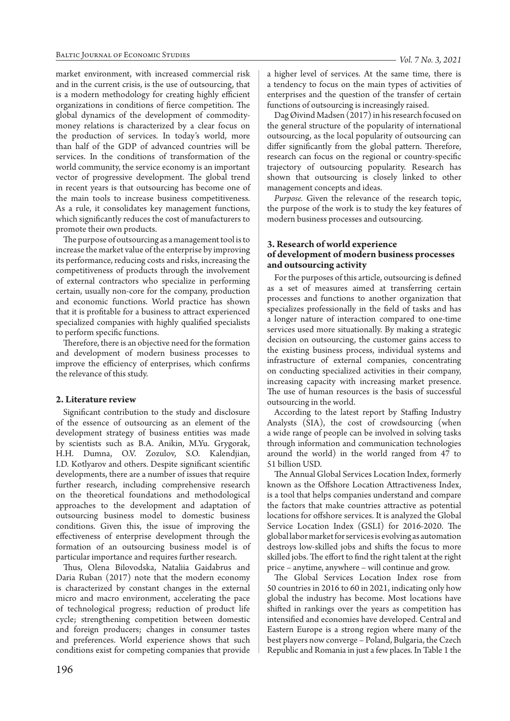market environment, with increased commercial risk and in the current crisis, is the use of outsourcing, that is a modern methodology for creating highly efficient organizations in conditions of fierce competition. The global dynamics of the development of commoditymoney relations is characterized by a clear focus on the production of services. In today's world, more than half of the GDP of advanced countries will be services. In the conditions of transformation of the world community, the service economy is an important vector of progressive development. The global trend in recent years is that outsourcing has become one of the main tools to increase business competitiveness. As a rule, it consolidates key management functions, which significantly reduces the cost of manufacturers to promote their own products.

The purpose of outsourcing as a management tool is to increase the market value of the enterprise by improving its performance, reducing costs and risks, increasing the competitiveness of products through the involvement of external contractors who specialize in performing certain, usually non-core for the company, production and economic functions. World practice has shown that it is profitable for a business to attract experienced specialized companies with highly qualified specialists to perform specific functions.

Therefore, there is an objective need for the formation and development of modern business processes to improve the efficiency of enterprises, which confirms the relevance of this study.

# **2. Literature review**

Significant contribution to the study and disclosure of the essence of outsourcing as an element of the development strategy of business entities was made by scientists such as B.A. Anikin, M.Yu. Grygorak, Н.Н. Dumna, O.V. Zozulov, S.O. Kalendjian, I.D. Kotlyarov and others. Despite significant scientific developments, there are a number of issues that require further research, including comprehensive research on the theoretical foundations and methodological approaches to the development and adaptation of outsourcing business model to domestic business conditions. Given this, the issue of improving the effectiveness of enterprise development through the formation of an outsourcing business model is of particular importance and requires further research.

Thus, Olena Bilovodska, Nataliia Gaidabrus and Daria Ruban (2017) note that the modern economy is characterized by constant changes in the external micro and macro environment, accelerating the pace of technological progress; reduction of product life cycle; strengthening competition between domestic and foreign producers; changes in consumer tastes and preferences. World experience shows that such conditions exist for competing companies that provide

a higher level of services. At the same time, there is a tendency to focus on the main types of activities of enterprises and the question of the transfer of certain functions of outsourcing is increasingly raised.

Dag Øivind Madsen (2017) in his research focused on the general structure of the popularity of international outsourcing, as the local popularity of outsourcing can differ significantly from the global pattern. Therefore, research can focus on the regional or country-specific trajectory of outsourcing popularity. Research has shown that outsourcing is closely linked to other management concepts and ideas.

*Purpose.* Given the relevance of the research topic, the purpose of the work is to study the key features of modern business processes and outsourcing.

# **3. Research of world experience of development of modern business processes and outsourcing activity**

For the purposes of this article, outsourcing is defined as a set of measures aimed at transferring certain processes and functions to another organization that specializes professionally in the field of tasks and has a longer nature of interaction compared to one-time services used more situationally. By making a strategic decision on outsourcing, the customer gains access to the existing business process, individual systems and infrastructure of external companies, concentrating on conducting specialized activities in their company, increasing capacity with increasing market presence. The use of human resources is the basis of successful outsourcing in the world.

According to the latest report by Staffing Industry Analysts (SIA), the cost of crowdsourcing (when a wide range of people can be involved in solving tasks through information and communication technologies around the world) in the world ranged from 47 to 51 billion USD.

The Annual Global Services Location Index, formerly known as the Offshore Location Attractiveness Index, is a tool that helps companies understand and compare the factors that make countries attractive as potential locations for offshore services. It is analyzed the Global Service Location Index (GSLI) for 2016-2020. The global labor market for services is evolving as automation destroys low-skilled jobs and shifts the focus to more skilled jobs. The effort to find the right talent at the right price – anytime, anywhere – will continue and grow.

The Global Services Location Index rose from 50 countries in 2016 to 60 in 2021, indicating only how global the industry has become. Most locations have shifted in rankings over the years as competition has intensified and economies have developed. Central and Eastern Europe is a strong region where many of the best players now converge – Poland, Bulgaria, the Czech Republic and Romania in just a few places. In Table 1 the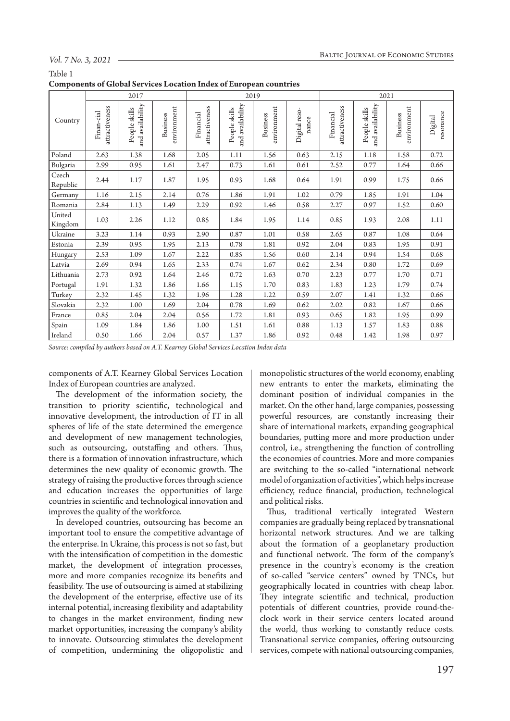### *Vol. 7 No. 3, 2021*

Table 1

|  |  | <b>Components of Global Services Location Index of European countries</b> |
|--|--|---------------------------------------------------------------------------|
|--|--|---------------------------------------------------------------------------|

| т.                |                              |                                   |                         |                             |                                   |                         |                        |                             |                                   |                         |                      |
|-------------------|------------------------------|-----------------------------------|-------------------------|-----------------------------|-----------------------------------|-------------------------|------------------------|-----------------------------|-----------------------------------|-------------------------|----------------------|
|                   | 2017<br>2019                 |                                   |                         |                             | 2021                              |                         |                        |                             |                                   |                         |                      |
| Country           | attractiveness<br>Finan-cial | and availability<br>People skills | environment<br>Business | attractiveness<br>Financial | and availability<br>People skills | environment<br>Business | Digital reso-<br>nance | attractiveness<br>Financial | and availability<br>People skills | environment<br>Business | resonance<br>Digital |
| Poland            | 2.63                         | 1.38                              | 1.68                    | 2.05                        | 1.11                              | 1.56                    | 0.63                   | 2.15                        | 1.18                              | 1.58                    | 0.72                 |
| Bulgaria          | 2.99                         | 0.95                              | 1.61                    | 2.47                        | 0.73                              | 1.61                    | 0.61                   | 2.52                        | 0.77                              | 1.64                    | 0.66                 |
| Czech<br>Republic | 2.44                         | 1.17                              | 1.87                    | 1.95                        | 0.93                              | 1.68                    | 0.64                   | 1.91                        | 0.99                              | 1.75                    | 0.66                 |
| Germany           | 1.16                         | 2.15                              | 2.14                    | 0.76                        | 1.86                              | 1.91                    | 1.02                   | 0.79                        | 1.85                              | 1.91                    | 1.04                 |
| Romania           | 2.84                         | 1.13                              | 1.49                    | 2.29                        | 0.92                              | 1.46                    | 0.58                   | 2.27                        | 0.97                              | 1.52                    | 0.60                 |
| United<br>Kingdom | 1.03                         | 2.26                              | 1.12                    | 0.85                        | 1.84                              | 1.95                    | 1.14                   | 0.85                        | 1.93                              | 2.08                    | 1.11                 |
| Ukraine           | 3.23                         | 1.14                              | 0.93                    | 2.90                        | 0.87                              | 1.01                    | 0.58                   | 2.65                        | 0.87                              | 1.08                    | 0.64                 |
| Estonia           | 2.39                         | 0.95                              | 1.95                    | 2.13                        | 0.78                              | 1.81                    | 0.92                   | 2.04                        | 0.83                              | 1.95                    | 0.91                 |
| Hungary           | 2.53                         | 1.09                              | 1.67                    | 2.22                        | 0.85                              | 1.56                    | 0.60                   | 2.14                        | 0.94                              | 1.54                    | 0.68                 |
| Latvia            | 2.69                         | 0.94                              | 1.65                    | 2.33                        | 0.74                              | 1.67                    | 0.62                   | 2.34                        | 0.80                              | 1.72                    | 0.69                 |
| Lithuania         | 2.73                         | 0.92                              | 1.64                    | 2.46                        | 0.72                              | 1.63                    | 0.70                   | 2.23                        | 0.77                              | 1.70                    | 0.71                 |
| Portugal          | 1.91                         | 1.32                              | 1.86                    | 1.66                        | 1.15                              | 1.70                    | 0.83                   | 1.83                        | 1.23                              | 1.79                    | 0.74                 |
| Turkey            | 2.32                         | 1.45                              | 1.32                    | 1.96                        | 1.28                              | 1.22                    | 0.59                   | 2.07                        | 1.41                              | 1.32                    | 0.66                 |
| Slovakia          | 2.32                         | 1.00                              | 1.69                    | 2.04                        | 0.78                              | 1.69                    | 0.62                   | 2.02                        | 0.82                              | 1.67                    | 0.66                 |
| France            | 0.85                         | 2.04                              | 2.04                    | 0.56                        | 1.72                              | 1.81                    | 0.93                   | 0.65                        | 1.82                              | 1.95                    | 0.99                 |
| Spain             | 1.09                         | 1.84                              | 1.86                    | 1.00                        | 1.51                              | 1.61                    | 0.88                   | 1.13                        | 1.57                              | 1.83                    | 0.88                 |
| Ireland           | 0.50                         | 1.66                              | 2.04                    | 0.57                        | 1.37                              | 1.86                    | 0.92                   | 0.48                        | 1.42                              | 1.98                    | 0.97                 |

*Source: compiled by authors based on A.T. Kearney Global Services Location Index data*

components of A.T. Kearney Global Services Location Index of European countries are analyzed.

The development of the information society, the transition to priority scientific, technological and innovative development, the introduction of IT in all spheres of life of the state determined the emergence and development of new management technologies, such as outsourcing, outstaffing and others. Thus, there is a formation of innovation infrastructure, which determines the new quality of economic growth. The strategy of raising the productive forces through science and education increases the opportunities of large countries in scientific and technological innovation and improves the quality of the workforce.

In developed countries, outsourcing has become an important tool to ensure the competitive advantage of the enterprise. In Ukraine, this process is not so fast, but with the intensification of competition in the domestic market, the development of integration processes, more and more companies recognize its benefits and feasibility. The use of outsourcing is aimed at stabilizing the development of the enterprise, effective use of its internal potential, increasing flexibility and adaptability to changes in the market environment, finding new market opportunities, increasing the company's ability to innovate. Outsourcing stimulates the development of competition, undermining the oligopolistic and

monopolistic structures of the world economy, enabling new entrants to enter the markets, eliminating the dominant position of individual companies in the market. On the other hand, large companies, possessing powerful resources, are constantly increasing their share of international markets, expanding geographical boundaries, putting more and more production under control, i.e., strengthening the function of controlling the economies of countries. More and more companies are switching to the so-called "international network model of organization of activities", which helps increase efficiency, reduce financial, production, technological and political risks.

Thus, traditional vertically integrated Western companies are gradually being replaced by transnational horizontal network structures. And we are talking about the formation of a geoplanetary production and functional network. The form of the company's presence in the country's economy is the creation of so-called "service centers" owned by TNCs, but geographically located in countries with cheap labor. They integrate scientific and technical, production potentials of different countries, provide round-theclock work in their service centers located around the world, thus working to constantly reduce costs. Transnational service companies, offering outsourcing services, compete with national outsourcing companies,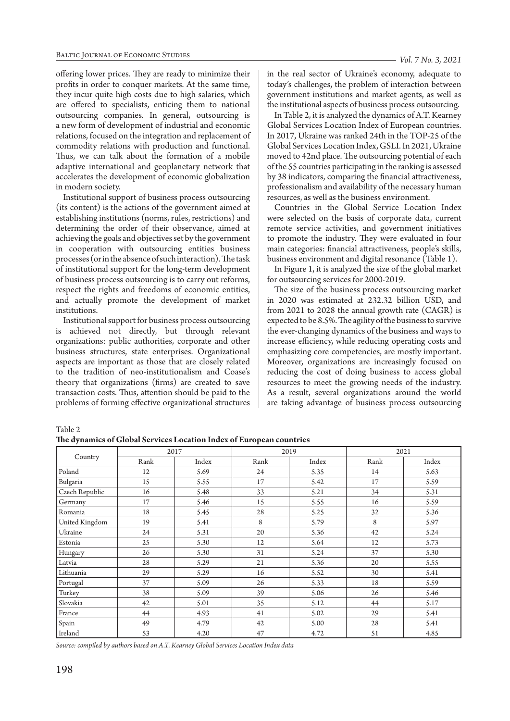offering lower prices. They are ready to minimize their profits in order to conquer markets. At the same time, they incur quite high costs due to high salaries, which are offered to specialists, enticing them to national outsourcing companies. In general, outsourcing is a new form of development of industrial and economic relations, focused on the integration and replacement of commodity relations with production and functional. Thus, we can talk about the formation of a mobile adaptive international and geoplanetary network that accelerates the development of economic globalization in modern society.

Institutional support of business process outsourcing (its content) is the actions of the government aimed at establishing institutions (norms, rules, restrictions) and determining the order of their observance, aimed at achieving the goals and objectives set by the government in cooperation with outsourcing entities business processes (or in the absence of such interaction). The task of institutional support for the long-term development of business process outsourcing is to carry out reforms, respect the rights and freedoms of economic entities, and actually promote the development of market institutions.

Institutional support for business process outsourcing is achieved not directly, but through relevant organizations: public authorities, corporate and other business structures, state enterprises. Organizational aspects are important as those that are closely related to the tradition of neo-institutionalism and Coase's theory that organizations (firms) are created to save transaction costs. Thus, attention should be paid to the problems of forming effective organizational structures

in the real sector of Ukraine's economy, adequate to today's challenges, the problem of interaction between government institutions and market agents, as well as the institutional aspects of business process outsourcing.

In Table 2, it is analyzed the dynamics of A.T. Kearney Global Services Location Index of European countries. In 2017, Ukraine was ranked 24th in the TOP-25 of the Global Services Location Index, GSLI. In 2021, Ukraine moved to 42nd place. The outsourcing potential of each of the 55 countries participating in the ranking is assessed by 38 indicators, comparing the financial attractiveness, professionalism and availability of the necessary human resources, as well as the business environment.

Countries in the Global Service Location Index were selected on the basis of corporate data, current remote service activities, and government initiatives to promote the industry. They were evaluated in four main categories: financial attractiveness, people's skills, business environment and digital resonance (Table 1).

In Figure 1, it is analyzed the size of the global market for outsourcing services for 2000-2019.

The size of the business process outsourcing market in 2020 was estimated at 232.32 billion USD, and from 2021 to 2028 the annual growth rate (CAGR) is expected to be 8.5%. The agility of the business to survive the ever-changing dynamics of the business and ways to increase efficiency, while reducing operating costs and emphasizing core competencies, are mostly important. Moreover, organizations are increasingly focused on reducing the cost of doing business to access global resources to meet the growing needs of the industry. As a result, several organizations around the world are taking advantage of business process outsourcing

Table 2

|                | 2017 |       |      | 2019  | 2021 |       |  |
|----------------|------|-------|------|-------|------|-------|--|
| Country        | Rank | Index | Rank | Index | Rank | Index |  |
| Poland         | 12   | 5.69  | 24   | 5.35  | 14   | 5.63  |  |
| Bulgaria       | 15   | 5.55  | 17   | 5.42  | 17   | 5.59  |  |
| Czech Republic | 16   | 5.48  | 33   | 5.21  | 34   | 5.31  |  |
| Germany        | 17   | 5.46  | 15   | 5.55  | 16   | 5.59  |  |
| Romania        | 18   | 5.45  | 28   | 5.25  | 32   | 5.36  |  |
| United Kingdom | 19   | 5.41  | 8    | 5.79  | 8    | 5.97  |  |
| <b>Ukraine</b> | 24   | 5.31  | 20   | 5.36  | 42   | 5.24  |  |
| Estonia        | 25   | 5.30  | 12   | 5.64  | 12   | 5.73  |  |
| Hungary        | 26   | 5.30  | 31   | 5.24  | 37   | 5.30  |  |
| Latvia         | 28   | 5.29  | 21   | 5.36  | 20   | 5.55  |  |
| Lithuania      | 29   | 5.29  | 16   | 5.52  | 30   | 5.41  |  |
| Portugal       | 37   | 5.09  | 26   | 5.33  | 18   | 5.59  |  |
| Turkey         | 38   | 5.09  | 39   | 5.06  | 26   | 5.46  |  |
| Slovakia       | 42   | 5.01  | 35   | 5.12  | 44   | 5.17  |  |
| France         | 44   | 4.93  | 41   | 5.02  | 29   | 5.41  |  |
| Spain          | 49   | 4.79  | 42   | 5.00  | 28   | 5.41  |  |
| Ireland        | 53   | 4.20  | 47   | 4.72  | 51   | 4.85  |  |

*Source: compiled by authors based on A.T. Kearney Global Services Location Index data*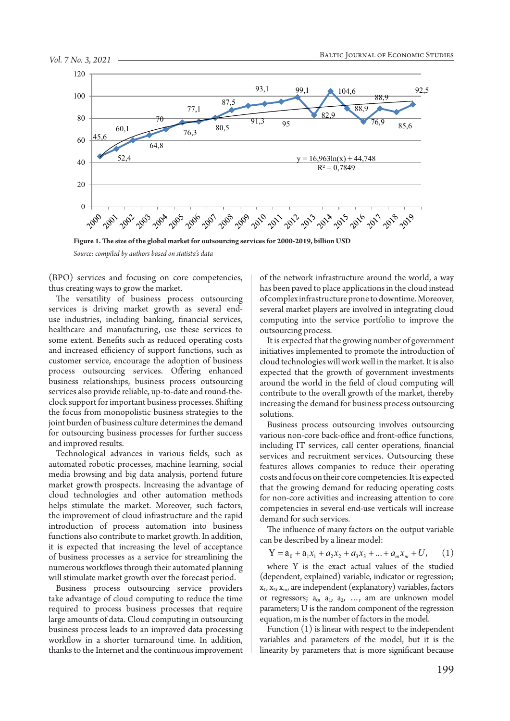

**Figure 1. The size of the global market for outsourcing services for 2000-2019, billion USD**

*Source: compiled by authors based on statista's data*

(BPO) services and focusing on core competencies, thus creating ways to grow the market.

The versatility of business process outsourcing services is driving market growth as several enduse industries, including banking, financial services, healthcare and manufacturing, use these services to some extent. Benefits such as reduced operating costs and increased efficiency of support functions, such as customer service, encourage the adoption of business process outsourcing services. Offering enhanced business relationships, business process outsourcing services also provide reliable, up-to-date and round-theclock support for important business processes. Shifting the focus from monopolistic business strategies to the joint burden of business culture determines the demand for outsourcing business processes for further success and improved results.

Technological advances in various fields, such as automated robotic processes, machine learning, social media browsing and big data analysis, portend future market growth prospects. Increasing the advantage of cloud technologies and other automation methods helps stimulate the market. Moreover, such factors, the improvement of cloud infrastructure and the rapid introduction of process automation into business functions also contribute to market growth. In addition, it is expected that increasing the level of acceptance of business processes as a service for streamlining the numerous workflows through their automated planning will stimulate market growth over the forecast period.

Business process outsourcing service providers take advantage of cloud computing to reduce the time required to process business processes that require large amounts of data. Cloud computing in outsourcing business process leads to an improved data processing workflow in a shorter turnaround time. In addition, thanks to the Internet and the continuous improvement

of the network infrastructure around the world, a way has been paved to place applications in the cloud instead of complex infrastructure prone to downtime. Moreover, several market players are involved in integrating cloud computing into the service portfolio to improve the outsourcing process.

It is expected that the growing number of government initiatives implemented to promote the introduction of cloud technologies will work well in the market. It is also expected that the growth of government investments around the world in the field of cloud computing will contribute to the overall growth of the market, thereby increasing the demand for business process outsourcing solutions.

Business process outsourcing involves outsourcing various non-core back-office and front-office functions, including IT services, call center operations, financial services and recruitment services. Outsourcing these features allows companies to reduce their operating costs and focus on their core competencies. It is expected that the growing demand for reducing operating costs for non-core activities and increasing attention to core competencies in several end-use verticals will increase demand for such services.

The influence of many factors on the output variable can be described by a linear model:

$$
Y = a_0 + a_1 x_1 + a_2 x_2 + a_3 x_3 + \dots + a_m x_m + U, \qquad (1)
$$

where Y is the exact actual values of the studied (dependent, explained) variable, indicator or regression;  $x_1, x_2, x_m$ , are independent (explanatory) variables, factors or regressors;  $a_0$ ,  $a_1$ ,  $a_2$ , ..., am are unknown model parameters; U is the random component of the regression equation, m is the number of factors in the model.

Function (1) is linear with respect to the independent variables and parameters of the model, but it is the linearity by parameters that is more significant because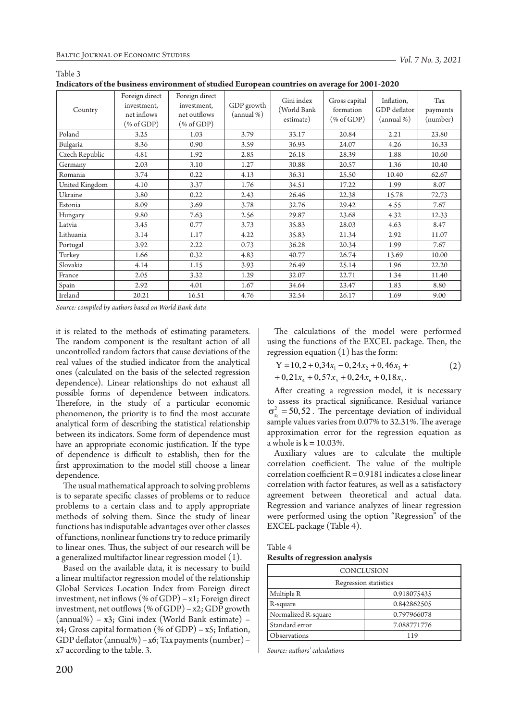Table 3

| murators of the basiness environment of staured Earopean countries on average for 2001-2020 |                                                                                                                      |                                                                                            |                          |                                        |                                        |                                          |                             |
|---------------------------------------------------------------------------------------------|----------------------------------------------------------------------------------------------------------------------|--------------------------------------------------------------------------------------------|--------------------------|----------------------------------------|----------------------------------------|------------------------------------------|-----------------------------|
| Country                                                                                     | Foreign direct<br>investment,<br>net inflows<br>$(% \mathcal{L}_{0}^{\ast}(\mathcal{L}_{0})\otimes \mathcal{L}_{1})$ | Foreign direct<br>investment,<br>net outflows<br>$(% \mathcal{L}_{0}^{\infty})$ (% of GDP) | GDP growth<br>(annual %) | Gini index<br>(World Bank<br>estimate) | Gross capital<br>formation<br>% of GDP | Inflation,<br>GDP deflator<br>(annual %) | Tax<br>payments<br>(number) |
| Poland                                                                                      | 3.25                                                                                                                 | 1.03                                                                                       | 3.79                     | 33.17                                  | 20.84                                  | 2.21                                     | 23.80                       |
| Bulgaria                                                                                    | 8.36                                                                                                                 | 0.90                                                                                       | 3.59                     | 36.93                                  | 24.07                                  | 4.26                                     | 16.33                       |
| Czech Republic                                                                              | 4.81                                                                                                                 | 1.92                                                                                       | 2.85                     | 26.18                                  | 28.39                                  | 1.88                                     | 10.60                       |
| Germany                                                                                     | 2.03                                                                                                                 | 3.10                                                                                       | 1.27                     | 30.88                                  | 20.57                                  | 1.36                                     | 10.40                       |
| Romania                                                                                     | 3.74                                                                                                                 | 0.22                                                                                       | 4.13                     | 36.31                                  | 25.50                                  | 10.40                                    | 62.67                       |
| United Kingdom                                                                              | 4.10                                                                                                                 | 3.37                                                                                       | 1.76                     | 34.51                                  | 17.22                                  | 1.99                                     | 8.07                        |
| Ukraine                                                                                     | 3.80                                                                                                                 | 0.22                                                                                       | 2.43                     | 26.46                                  | 22.38                                  | 15.78                                    | 72.73                       |
| Estonia                                                                                     | 8.09                                                                                                                 | 3.69                                                                                       | 3.78                     | 32.76                                  | 29.42                                  | 4.55                                     | 7.67                        |
| Hungary                                                                                     | 9.80                                                                                                                 | 7.63                                                                                       | 2.56                     | 29.87                                  | 23.68                                  | 4.32                                     | 12.33                       |
| Latvia                                                                                      | 3.45                                                                                                                 | 0.77                                                                                       | 3.73                     | 35.83                                  | 28.03                                  | 4.63                                     | 8.47                        |
| Lithuania                                                                                   | 3.14                                                                                                                 | 1.17                                                                                       | 4.22                     | 35.83                                  | 21.34                                  | 2.92                                     | 11.07                       |
| Portugal                                                                                    | 3.92                                                                                                                 | 2.22                                                                                       | 0.73                     | 36.28                                  | 20.34                                  | 1.99                                     | 7.67                        |
| Turkey                                                                                      | 1.66                                                                                                                 | 0.32                                                                                       | 4.83                     | 40.77                                  | 26.74                                  | 13.69                                    | 10.00                       |
| Slovakia                                                                                    | 4.14                                                                                                                 | 1.15                                                                                       | 3.93                     | 26.49                                  | 25.14                                  | 1.96                                     | 22.20                       |
| France                                                                                      | 2.05                                                                                                                 | 3.32                                                                                       | 1.29                     | 32.07                                  | 22.71                                  | 1.34                                     | 11.40                       |
| Spain                                                                                       | 2.92                                                                                                                 | 4.01                                                                                       | 1.67                     | 34.64                                  | 23.47                                  | 1.83                                     | 8.80                        |
| Ireland                                                                                     | 20.21                                                                                                                | 16.51                                                                                      | 4.76                     | 32.54                                  | 26.17                                  | 1.69                                     | 9.00                        |

**Indicators of the business environment of studied European countries on average for 2001-2020**

*Source: compiled by authors based on World Bank data*

it is related to the methods of estimating parameters. The random component is the resultant action of all uncontrolled random factors that cause deviations of the real values of the studied indicator from the analytical ones (calculated on the basis of the selected regression dependence). Linear relationships do not exhaust all  $+0.21x_4 + 0.57x_5 + 0.24x_6 + 0.18x_7$ . possible forms of dependence between indicators. Therefore, in the study of a particular economic phenomenon, the priority is to find the most accurate analytical form of describing the statistical relationship between its indicators. Some form of dependence must have an appropriate economic justification. If the type of dependence is difficult to establish, then for the first approximation to the model still choose a linear dependence.

The usual mathematical approach to solving problems is to separate specific classes of problems or to reduce problems to a certain class and to apply appropriate methods of solving them. Since the study of linear functions has indisputable advantages over other classes of functions, nonlinear functions try to reduce primarily to linear ones. Thus, the subject of our research will be a generalized multifactor linear regression model (1).

Based on the available data, it is necessary to build a linear multifactor regression model of the relationship Global Services Location Index from Foreign direct investment, net inflows (% of GDP) –  $x1$ ; Foreign direct investment, net outflows (% of GDP) –  $x2$ ; GDP growth (annual%) – x3; Gini index (World Bank estimate) – x4; Gross capital formation (% of GDP) – x5; Inflation, GDP deflator (annual%) – x6; Tax payments (number) – x7 according to the table. 3.

The calculations of the model were performed using the functions of the EXCEL package. Then, the regression equation (1) has the form:

$$
Y = 10, 2 + 0, 34x1 - 0, 24x2 + 0, 46x3 + 0+ 0, 21x4 + 0, 57x5 + 0, 24x6 + 0, 18x7.
$$
 (2)

After creating a regression model, it is necessary to assess its practical significance. Residual variance  $\sigma_{\varepsilon_i}^2$  = 50,52. The percentage deviation of individual sample values varies from 0.07% to 32.31%. The average approximation error for the regression equation as a whole is  $k = 10.03\%$ .

Auxiliary values are to calculate the multiple correlation coefficient. The value of the multiple correlation coefficient R = 0.9181 indicates a close linear correlation with factor features, as well as a satisfactory agreement between theoretical and actual data. Regression and variance analyzes of linear regression were performed using the option "Regression" of the EXCEL package (Table 4).

Table 4

**Results of regression analysis**

| CONCLUSION                |             |  |  |  |  |  |
|---------------------------|-------------|--|--|--|--|--|
| Regression statistics     |             |  |  |  |  |  |
| Multiple R<br>0.918075435 |             |  |  |  |  |  |
| R-square                  | 0.842862505 |  |  |  |  |  |
| Normalized R-square       | 0.797966078 |  |  |  |  |  |
| Standard error            | 7.088771776 |  |  |  |  |  |
| <b>Observations</b>       | 119         |  |  |  |  |  |

*Source: authors' calculations*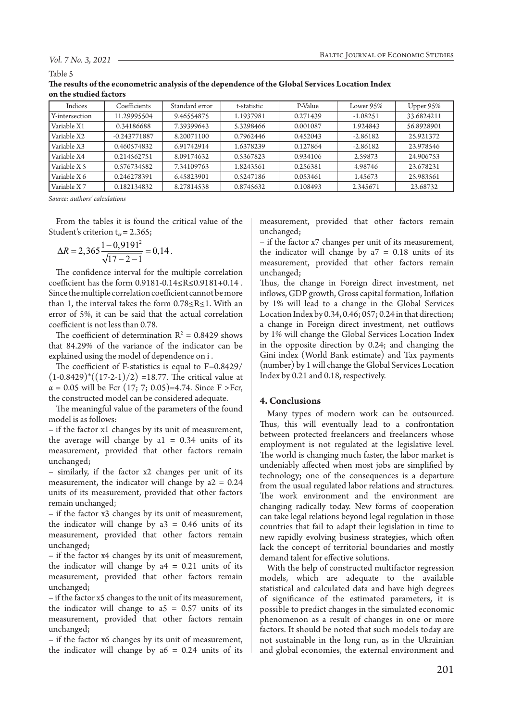#### *Vol. 7 No. 3, 2021*

#### Table 5

| The results of the econometric analysis of the dependence of the Global Services Location Index |  |
|-------------------------------------------------------------------------------------------------|--|
| on the studied factors                                                                          |  |

| Indices        | Coefficients   | Standard error | t-statistic | P-Value  | Lower 95%  | Upper 95%  |
|----------------|----------------|----------------|-------------|----------|------------|------------|
| Y-intersection | 11.29995504    | 9.46554875     | 1.1937981   | 0.271439 | $-1.08251$ | 33.6824211 |
| Variable X1    | 0.34186688     | 7.39399643     | 5.3298466   | 0.001087 | 1.924843   | 56.8928901 |
| Variable X2    | $-0.243771887$ | 8.20071100     | 0.7962446   | 0.452043 | $-2.86182$ | 25.921372  |
| Variable X3    | 0.460574832    | 6.91742914     | 1.6378239   | 0.127864 | $-2.86182$ | 23.978546  |
| Variable X4    | 0.214562751    | 8.09174632     | 0.5367823   | 0.934106 | 2.59873    | 24.906753  |
| Variable X 5   | 0.576734582    | 7.34109763     | 1.8243561   | 0.256381 | 4.98746    | 23.678231  |
| Variable X 6   | 0.246278391    | 6.45823901     | 0.5247186   | 0.053461 | 1.45673    | 25.983561  |
| Variable X7    | 0.182134832    | 8.27814538     | 0.8745632   | 0.108493 | 2.345671   | 23.68732   |

*Source: authors' calculations*

From the tables it is found the critical value of the Student's criterion  $t_{cr}$  = 2.365;

$$
\Delta R = 2,365 \frac{1 - 0,9191^2}{\sqrt{17 - 2 - 1}} = 0,14.
$$

The confidence interval for the multiple correlation coefficient has the form 0.9181-0.14≤R≤0.9181+0.14 . Since the multiple correlation coefficient cannot be more than 1, the interval takes the form 0.78≤R≤1. With an error of 5%, it can be said that the actual correlation coefficient is not less than 0.78.

The coefficient of determination  $R^2 = 0.8429$  shows that 84.29% of the variance of the indicator can be explained using the model of dependence on і .

The coefficient of F-statistics is equal to F=0.8429/  $(1-0.8429)^*((17-2-1)/2) =18.77$ . The critical value at  $\alpha = 0.05$  will be Fcr (17; 7; 0.05)=4.74. Since F >Fcr, the constructed model can be considered adequate.

The meaningful value of the parameters of the found model is as follows:

– if the factor x1 changes by its unit of measurement, the average will change by  $a1 = 0.34$  units of its measurement, provided that other factors remain unchanged;

– similarly, if the factor x2 changes per unit of its measurement, the indicator will change by a2 = 0.24 units of its measurement, provided that other factors remain unchanged;

– if the factor x3 changes by its unit of measurement, the indicator will change by  $a3 = 0.46$  units of its measurement, provided that other factors remain unchanged;

– if the factor x4 changes by its unit of measurement, the indicator will change by  $a4 = 0.21$  units of its measurement, provided that other factors remain unchanged;

– if the factor x5 changes to the unit of its measurement, the indicator will change to  $a5 = 0.57$  units of its measurement, provided that other factors remain unchanged;

– if the factor x6 changes by its unit of measurement, the indicator will change by  $a6 = 0.24$  units of its measurement, provided that other factors remain unchanged;

– if the factor x7 changes per unit of its measurement, the indicator will change by  $a7 = 0.18$  units of its measurement, provided that other factors remain unchanged;

Thus, the change in Foreign direct investment, net inflows, GDP growth, Gross capital formation, Inflation by 1% will lead to a change in the Global Services Location Index by 0.34, 0.46; 057; 0.24 in that direction; a change in Foreign direct investment, net outflows by 1% will change the Global Services Location Index in the opposite direction by 0.24; and changing the Gini index (World Bank estimate) and Tax payments (number) by 1 will change the Global Services Location Index by 0.21 and 0.18, respectively.

#### **4. Conclusions**

Many types of modern work can be outsourced. Thus, this will eventually lead to a confrontation between protected freelancers and freelancers whose employment is not regulated at the legislative level. The world is changing much faster, the labor market is undeniably affected when most jobs are simplified by technology; one of the consequences is a departure from the usual regulated labor relations and structures. The work environment and the environment are changing radically today. New forms of cooperation can take legal relations beyond legal regulation in those countries that fail to adapt their legislation in time to new rapidly evolving business strategies, which often lack the concept of territorial boundaries and mostly demand talent for effective solutions.

With the help of constructed multifactor regression models, which are adequate to the available statistical and calculated data and have high degrees of significance of the estimated parameters, it is possible to predict changes in the simulated economic phenomenon as a result of changes in one or more factors. It should be noted that such models today are not sustainable in the long run, as in the Ukrainian and global economies, the external environment and